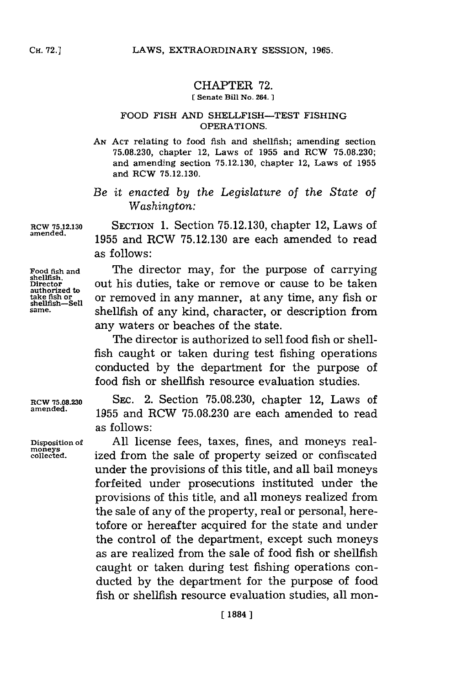## CHAPTER **72. [ Senate Bill No. 264. ]**

## **FOOD FISH AND SHELLFISH-TEST FISHING** OPERATIONS.

**AN ACT** relating to food fish and shellfish; amending section **75.08.230,** chapter 12, Laws of **1955** and RCW **75.08.230;** and amending section **75.12.130,** chapter 12, Laws of **1955** and RCW **75.12.130.**

*Be it enacted by the Legislature of the State of Washington:*

**RCW 75.12.130** SECTION 1. Section 75.12.130, chapter 12, Laws of amended. **amended. 1955** and RCW **75.12.130** are each amended to read as follows:

**authorized to** take fish or<br>shellfish—Sell<br>same.

Food fish and The director may, for the purpose of carrying<br>
<u>shellfish</u>.<br>
Director out his duties, take or remove or cause to be taken out his duties, take or remove or cause to be taken or removed in any manner, at any time, any fish or shellfish of any kind, character, or description from any waters or beaches of the state.

> The director is authorized to sell food fish or shellfish caught or taken during test fishing operations conducted **by** the department for the purpose of food fish or shellfish resource evaluation studies.

RCW **75.08.230 SEC.** 2. Section **75.08.230,** chapter 12, Laws of **amended. 1955** and RCW **75.08.230** are each amended to read as follows:

**Disposition of All** license fees, taxes, fines, and moneys real**collected.** ized from the sale of property seized or confiscated under the provisions of this title, and all bail moneys forfeited under prosecutions instituted under the provisions of this title, and all moneys realized from the sale of any of the property, real or personal, heretofore or hereafter acquired for the state and under the control of the department, except such moneys as are realized from the sale of food fish or shellfish caught or taken during test fishing operations conducted **by** the department for the purpose of food fish or shellfish resource evaluation studies, all mon